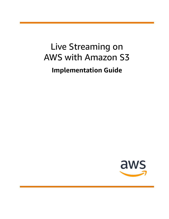# Live Streaming on AWS with Amazon S3 **Implementation Guide**

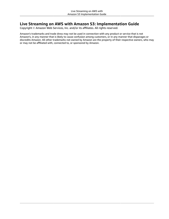### **Live Streaming on AWS with Amazon S3: Implementation Guide**

Copyright © Amazon Web Services, Inc. and/or its affiliates. All rights reserved.

Amazon's trademarks and trade dress may not be used in connection with any product or service that is not Amazon's, in any manner that is likely to cause confusion among customers, or in any manner that disparages or discredits Amazon. All other trademarks not owned by Amazon are the property of their respective owners, who may or may not be affiliated with, connected to, or sponsored by Amazon.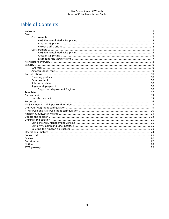### **Table of Contents**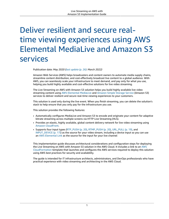# <span id="page-3-0"></span>Deliver resilient and secure realtime viewing experiences using AWS Elemental MediaLive and Amazon S3 services

Publication date: *May 2020 [\(last update](#page-28-0) (p. [26\)](#page-28-0): March 2022)*

Amazon Web Services (AWS) helps broadcasters and content owners to automate media supply chains, streamline content distribution, and cost-effectively broadcast live content to a global audience. With AWS, you can seamlessly scale your infrastructure to meet demand, and pay only for what you use, helping you build highly available and cost-effective solutions for live video streaming.

The Live Streaming on AWS with Amazon S3 solution helps you build highly available live video streaming content using AWS Elemental [MediaLive](https://aws.amazon.com/medialive/) and [Amazon](https://aws.amazon.com/s3/) Simple Storage Service (Amazon S3) services to deliver resilient and secure real-time viewing experiences to your customers.

This solution is used only during the live event. When you finish streaming, you can delete the solution's stack to help ensure that you only pay for the infrastructure you use.

This solution provides the following features:

- Automatically configures MediaLive and Amazon S3 to encode and originate your content for adaptive bitrate streaming across multiple screens via HTTP Live Streaming (HLS).
- Provides an elastic, highly available, global content delivery network for live video streaming using Amazon [CloudFront](https://aws.amazon.com/cloudfront/).
- Supports four input types ([RTP\\_PUSH \(p. 20\), RTMP\\_PUSH \(p. 20\)](#page-22-0), [URL\\_PULL \(p. 19\)](#page-21-0), and [INPUT\\_DEVICE \(p. 17\)\)](#page-19-0) as the source for your video stream, including a device input so you can use an AWS [Elemental](https://aws.amazon.com/medialive/features/link/) Link as the source for the input for your live channel

This implementation guide discusses architectural considerations and configuration steps for deploying the Live Streaming on AWS with Amazon S3 solution in the AWS Cloud. It includes a link to an [AWS](https://aws.amazon.com/cloudformation/) [CloudFormation](https://aws.amazon.com/cloudformation/) template that launches and configures the AWS services required to deploy this solution using AWS best practices for security and availability.

The guide is intended for IT infrastructure architects, administrators, and DevOps professionals who have practical experience with video streaming and architecting in the AWS Cloud.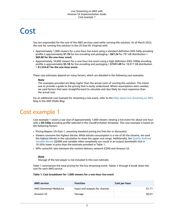## <span id="page-4-0"></span>Cost

You are responsible for the cost of the AWS services used while running this solution. As of March 2022, the cost for running this solution in the US East (N. Virginia) with:

- Approximately 1,000 viewers for a one-hour live event using a standard definition (SD)-540p encoding profile is approximately **\$1.76** for live encoding and packaging + **\$67.24** for 791 GB distribution = **\$69.00 for the one-hour event**.
- Approximately 10,000 viewers for a one-hour live event using a high definition (HD)-1080p encoding profile is approximately **\$3.18** for live encoding and packaging + **\$1531.49** for 18,017 GB distribution = **\$1,534.67 for the one-hour event**.

These cost estimates depend on many factors, which are detailed in the following cost examples.

### **Note**

The examples provided are likely *higher* than the actual costs of running this solution. The intent was to provide a guide to the pricing that is easily understood. Where assumptions were needed, we used factors that were straightforward to calculate and also likely be more expensive than the actual cost.

For an additional cost example for streaming a live event, refer to the FAQs about live [streaming](https://aws.amazon.com/blogs/media/frequently-asked-questions-about-the-cost-of-live-streaming/) on AWS blog in the *AWS Media Blog*.

### <span id="page-4-1"></span>Cost example 1

Cost example 1 covers a use case of approximately 1,000 viewers viewing a live event for about one hour with a **SD-540p** encoding profile selected in the CloudFormation template. This cost example is based on the following factors:

- Pricing Region: US-East-1, assuming standard pricing (no free-tier or discounts).
- Viewers consume the highest bitrate: While bitrate consumption is a mix of all the streams, we used the highest bitrate in the calculation to show the upper cost range. Additionally, the [Quality-Defined](https://aws.amazon.com/media/tech/quality-defined-variable-bitrate-qvbr/) [Variable](https://aws.amazon.com/media/tech/quality-defined-variable-bitrate-qvbr/) Bitrate (QVBR) and variable video complexity can result in an output bandwidth that is 10-50% lower in price than the estimate provided in Table 1.
- 99% cache/hit ratio between the content delivery network (CDN) and Amazon S3.

### **Note**

Storage of the test player is not included in this cost estimate.

Table 1 summarizes the total pricing for the live streaming event. Tables 2 through 4 break down the cost for each AWS service.

### **Table 1: Cost breakdown for 1,000 viewers for a one-hour live event**

| <b>AWS service</b>             | <b>Function</b>               | Cost per hour |
|--------------------------------|-------------------------------|---------------|
| <b>AWS Elemental MediaLive</b> | Input and outputs for channel | \$1.71        |
| Amazon S3                      | Storage                       | \$0.01        |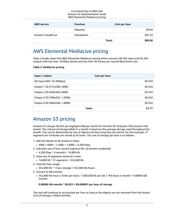| <b>AWS service</b> | <b>Function</b> | Cost per hour |
|--------------------|-----------------|---------------|
|                    | Requests        | \$0.04        |
| Amazon CloudFront  | Distribution    | \$67.24       |
|                    | Total:          | \$69.00       |

### <span id="page-5-0"></span>AWS Elemental MediaLive pricing

Table 2 breaks down the AWS Elemental MediaLive pricing which assumes HD AVC input and SD AVC outputs with less than 10 Mbps bitrate and less than 30 frames per second (fps) frame rate.

### **Table 2: MediaLive pricing**

| Input / output                | Cost per hour |
|-------------------------------|---------------|
| HD Input (AVC 10-20Mbps)      | \$0.294       |
| Output 1 SD (512x288, 400k)   | \$0.354       |
| Output 2 SD (640x360, 800k)   | \$0.354       |
| Output 3 SD (768x432, 1,200k) | \$0.354       |
| Output 4 SD (960x540, 1,800k) | \$0.354       |
| Total:                        | \$1.71        |

### <span id="page-5-1"></span>Amazon S3 pricing

Amazon S3 charges \$0.023 per Gigabyte (GB) per month for the first 50 Terabytes (TB) stored in the bucket. The volume of storage billed in a month is based on the average storage used throughout the month. This can be determined by size of objects and how long they are stored. For this example, 21 segments for 4 bitrates are stored at all times. The cost of storage per hour is as follows:

- 1. Add the bitrate of all streams in Kbps:
	- $\cdot$  400k + 800k + 1,200k + 1,800k = 4,200 Kbps
- 2. Calculate size of four-second segment (for all bitrates combined):
	- 4,200 Kbps \* 4 seconds = 16,800 Kb
- 3. Total size of segments stored at a time:
	- 16,800 Kb \* 21 segments = 352,800 Kb
- 4. Total Kb-hour usage:
	- $\cdot$  352,800 Kb  $*$  1 hour storage = 352,800 Kb-hours
- 5. Convert to GB-months:
	- 352,800 Kb-hours / 8 bits per byte / 1,000,000 Kb per GB / 744 hours in month = 0.00006 GBmonths

### **0.00006 GB-months \* \$0.023 = \$0.000001 per hour of storage**

The cost will continue to accumulate per hour as long as the objects are not removed from the bucket. Cost of storage is billed monthly.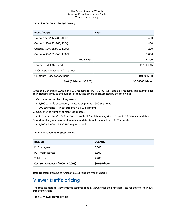### **Table 3: Amazon S3 storage pricing**

| Input / output                       | <b>Kbps</b>     |
|--------------------------------------|-----------------|
| Output 1 SD (512x288, 400k)          | 400             |
| Output 2 SD (640x360, 800k)          | 800             |
| Output 3 SD (768x432, 1,200k)        | 1,200           |
| Output 4 SD (960x540, 1,800k)        | 1,800           |
| <b>Total Kbps:</b>                   | 4,200           |
| Compute total Kb stored              | 352,800 Kb      |
| 4,200 kbps * 4 seconds * 21 segments |                 |
| GB-month usage for one hour          | 0.00006 GB      |
| Cost (GB/hour * \$0.023)             | \$0.000001/hour |

Amazon S3 charges \$0.005 per 1,000 requests for PUT, COPY, POST, and LIST requests. This example has four input streams, so the number of requests can be approximated by the following:

- 1. Calculate the number of segments:
	- 3,600 seconds of content / 4 second segments = 900 segments
	- 900 segments \* 4 input streams = 3,600 segments
- 2. Calculate the number of manifest updates:
	- 4 input streams \* 3,600 seconds of content / updates every 4 seconds = 3,600 manifest updates
- 3. Add total segments to total manifest updates to get the number of PUT requests:
	- $3,600 + 3,600 = 7,200$  PUT requests per hour

### **Table 4: Amazon S3 request pricing**

| <b>Request</b>                       | Quantity     |
|--------------------------------------|--------------|
| PUT ts segments                      | 3,600        |
| <b>PUT manifest files</b>            | 3,600        |
| Total requests:                      | 7,200        |
| Cost (total requests/1000 * \$0.005) | \$0.036/hour |

Data transfers from S3 to Amazon CloudFront are free of charge.

### <span id="page-6-0"></span>Viewer traffic pricing

The cost estimate for viewer traffic assumes that all viewers get the highest bitrate for the one-hour live streaming event.

### **Table 5: Viewer traffic pricing**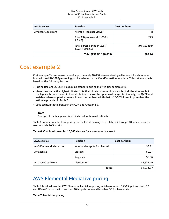### Live Streaming on AWS with Amazon S3 Implementation Guide Cost example 2

| <b>AWS service</b> | <b>Function</b>                                             | Cost per hour |
|--------------------|-------------------------------------------------------------|---------------|
| Amazon CloudFront  | Average Mbps per viewer                                     | 1.8           |
|                    | Total MB per second (1,000 x<br>1.8/8                       | 225           |
|                    | Total egress per hour (225 /<br>$1,024 \times 60 \times 60$ | 791 GB/hour   |
|                    | Total (791 GB * \$0.085):                                   | \$67.24       |

### <span id="page-7-0"></span>Cost example 2

Cost example 2 covers a use case of approximately 10,000 viewers viewing a live event for about one hour with an **HD-1080p** encoding profile selected in the CloudFormation template. This cost example is based on the following factors:

- Pricing Region: US-East-1, assuming standard pricing (no free-tier or discounts).
- Viewers consume the highest bitrate: Note that bitrate consumption is a mix of all the streams, but the highest bitrate is used in the calculation to show the upper cost range. Additionally, the QVBR and variable video complexity can result in an output bandwidth that is 10-50% lower in price than the estimate provided in Table 6.
- 99% cache/hit ratio between the CDN and Amazon S3.

### **Note**

Storage of the test player is not included in this cost estimate.

Table 6 summarizes the total pricing for the live streaming event. Tables 7 through 10 break down the cost for each AWS service.

### **Table 6: Cost breakdown for 10,000 viewers for a one-hour live event**

| <b>AWS service</b>             | <b>Function</b>               | Cost per hour |
|--------------------------------|-------------------------------|---------------|
| <b>AWS Elemental MediaLive</b> | Input and outputs for channel | \$3.11        |
| Amazon S3                      | Storage                       | \$0.01        |
|                                | Requests                      | \$0.06        |
| Amazon CloudFront              | <b>Distribution</b>           | \$1,531.49    |
| Total:                         |                               | \$1,534.67    |

### <span id="page-7-1"></span>AWS Elemental MediaLive pricing

Table 7 breaks down the AWS Elemental MediaLive pricing which assumes HD AVC input and both SD and HD AVC outputs with less than 10 Mbps bit rate and less than 30 fps frame rate.

### **Table 7: MediaLive pricing**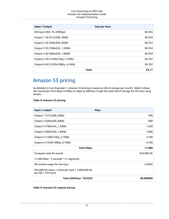### Live Streaming on AWS with Amazon S3 Implementation Guide Amazon S3 pricing

| Input / Output                   | Cost per hour |
|----------------------------------|---------------|
| HD Input (AVC 10-20Mbps)         | \$0.294       |
| Output 1 SD (512x288, 400k)      | \$0.354       |
| Output 2 SD (640x360, 800k)      | \$0.354       |
| Output 3 SD (768x432, 1,200k)    | \$0.354       |
| Output 4 SD (960x540, 1,800k)    | \$0.354       |
| Output 5 HD (1280x720p, 2,700k)  | \$0.702       |
| Output 6 HD (1920x1080p, 4,100k) | \$0.702       |
| Total:                           | \$3.11        |

### <span id="page-8-0"></span>Amazon S3 pricing

As detailed in Cost Example 1, Amazon S3 pricing is based on GB of storage per month. Table 8 shows the conversion from Kbps to Mbps to Gbps to GB/hour to get the total GB of storage for the hour-long stream.

### **Table 8: Amazon S3 pricing**

| Input / output                                                          | <b>Kbps</b> |
|-------------------------------------------------------------------------|-------------|
| Output 1 (512x288_400k)                                                 | 400         |
| Output 2 (640x360_800k)                                                 | 800         |
| Output 3 (768x432_1,200k)                                               | 1,200       |
| Output 4 (960x540_1,800k)                                               | 1,800       |
| Output 5 (1280x720p_2,700k)                                             | 2,700       |
| Output 6 (1920x1080p_4,100k)                                            | 4,100       |
| <b>Total Kbps:</b>                                                      | 11,000      |
| Compute total Kb stored                                                 | 924,000 Kb  |
| 11,000 Kbps * 4 seconds * 21 segments                                   |             |
| GB-month usage for one hour                                             | 0.0002      |
| 924,000 Kb-hours / 8 bits per byte / 1,000,000 Kb<br>per GB / 744 hours |             |
| Total (GB/hour * \$0.023)                                               | \$0.000005  |

### **Table 9: Amazon S3 request pricing**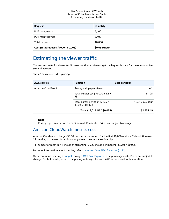| <b>Request</b>                       | Quantity     |
|--------------------------------------|--------------|
| PUT ts segments                      | 5,400        |
| PUT manifest files                   | 5,400        |
| Total requests:                      | 10,800       |
| Cost (total requests/1000 * \$0.005) | \$0.054/hour |

### <span id="page-9-0"></span>Estimating the viewer traffic

The cost estimate for viewer traffic assumes that all viewers get the highest bitrate for the one-hour live streaming event.

### **Table 10: Viewer traffic pricing**

| <b>AWS service</b> | <b>Function</b>                                               | Cost per hour  |
|--------------------|---------------------------------------------------------------|----------------|
| Amazon CloudFront  | Average Mbps per viewer                                       | 4.1            |
|                    | Total MB per sec (10,000 x 4.1 /<br>8)                        | 5,125          |
|                    | Total Egress per hour (5,125 /<br>$1,024 \times 60 \times 60$ | 18,017 GB/hour |
|                    | Total (18,017 GB * \$0.085):                                  | \$1,531.49     |

### **Note**

Pricing is per minute, with a minimum of 10 minutes. Prices are subject to change.

### Amazon CloudWatch metrics cost

Amazon CloudWatch charges \$0.30 per metric per month for the first 10,000 metrics. This solution uses 11 metrics, so the cost for an hour-long stream can be determined by:

11 (number of metrics) \* 1 (hours of streaming) / 720 (hours per month) \* \$0.30 = \$0.005

For more information about metrics, refer to *Amazon [CloudWatch](#page-23-0) metrics* [\(p. 21\)](#page-23-0).

We recommend creating a [budget](https://docs.aws.amazon.com/awsaccountbilling/latest/aboutv2/budgets-create.html) through AWS Cost [Explorer](http://aws.amazon.com/aws-cost-management/aws-cost-explorer/) to help manage costs. Prices are subject to change. For full details, refer to the pricing webpages for each AWS service used in this solution.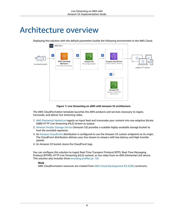## <span id="page-10-0"></span>Architecture overview

Deploying this solution with the default parameters builds the following environment in the AWS Cloud.



**Figure 1: Live Streaming on AWS with Amazon S3 architecture**

The AWS CloudFormation template launches the AWS products and services necessary to ingest, transcode, and deliver live streaming video.

- 1. AWS [Elemental](https://aws.amazon.com/medialive/) MediaLive ingests an input feed and transcodes your content into one adaptive bitrate (ABR) HTTP Live Streaming (HLS) stream as output.
- 2. [Amazon](https://aws.amazon.com/s3/) Simple Storage Service (Amazon S3) provides a scalable highly-available storage bucket to host the encoded segments.
- 3. An Amazon [CloudFront](https://aws.amazon.com/cloudfront/) distribution is configured to use the Amazon S3 custom endpoints as its origin. The CloudFront distribution delivers your live stream to viewers with low latency and high transfer speeds.
- 4. An Amazon S3 bucket stores the CloudFront logs.

You can configure this solution to ingest Real-Time Transport Protocol (RTP), Real-Time Messaging Protocol (RTMP), HTTP Live Streaming (HLS) content, or live video from an AWS Elemental Link device. This solution also includes three [encoding](#page-12-1) profiles [\(p. 10\).](#page-12-1)

### **Note**

AWS CloudFormation resources are created from AWS Cloud [Development](http://aws.amazon.com/cdk/) Kit (CDK) constructs.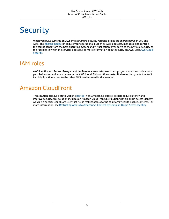# <span id="page-11-0"></span>**Security**

When you build systems on AWS infrastructure, security responsibilities are shared between you and AWS. This [shared](https://aws.amazon.com/compliance/shared-responsibility-model/) model can reduce your operational burden as AWS operates, manages, and controls the components from the host operating system and virtualization layer down to the physical security of the facilities in which the services operate. For more information about security on AWS, visit AWS [Cloud](https://aws.amazon.com/security/) [Security.](https://aws.amazon.com/security/)

## <span id="page-11-1"></span>IAM roles

AWS Identity and Access Management (IAM) roles allow customers to assign granular access policies and permissions to services and users in the AWS Cloud. This solution creates IAM roles that grants the AWS Lambda function access to the other AWS services used in this solution.

### <span id="page-11-2"></span>Amazon CloudFront

This solution deploys a static website [hosted](https://docs.aws.amazon.com/AmazonS3/latest/dev/WebsiteHosting.html) in an Amazon S3 bucket. To help reduce latency and improve security, this solution includes an Amazon CloudFront distribution with an origin access identity, which is a special CloudFront user that helps restrict access to the solution's website bucket contents. For more information, see [Restricting](https://docs.aws.amazon.com/AmazonCloudFront/latest/DeveloperGuide/private-content-restricting-access-to-s3.html) Access to Amazon S3 Content by Using an Origin Access Identity.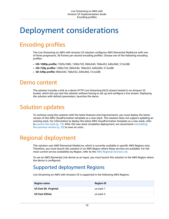## <span id="page-12-0"></span>Deployment considerations

## <span id="page-12-1"></span>Encoding profiles

The Live Streaming on AWS with Amazon S3 solution configures AWS Elemental MediaLive with one of three progressive, 30 frames per second encoding profiles. Choose one of the following encoding profiles.

- **HD-1080p profile:** 1920x1080, 1280x720, 960x540, 768x432, 640x360, 512x288
- **HD-720p profile:** 1280x720, 960x540, 768x432, 640x360, 512x288
- **SD-540p profile:** 960x540, 768x432, 640x360, 512x288

### <span id="page-12-2"></span>Demo content

The solution includes a link to a demo HTTP Live Streaming (HLS) stream hosted in an Amazon S3 bucket, which lets you test the solution without having to set up and configure a live stream. Deploying the solution with default parameters, launches the demo.

### <span id="page-12-3"></span>Solution updates

To continue using this solution with the latest features and improvements, you must deploy the latest version of the AWS CloudFormation template as a new stack. This solution does not support updating an existing stack. For information to deploy the latest AWS CloudFormation template as a new stack, refer to [Launch the stack \(p. 13\)](#page-15-1). After the new stack completes deployment, we recommend [uninstalling](#page-25-0) the [previous](#page-25-0) version [\(p. 23\)](#page-25-0) to save on costs.

### <span id="page-12-4"></span>Regional deployment

This solution uses AWS Elemental MediaLive, which is currently available in specific AWS Regions only. Therefore, you must launch this solution in an AWS Region where these services are available. For the most current service availability by Region, refer to the AWS [Regional](https://aws.amazon.com/about-aws/global-infrastructure/regional-product-services/) Services List.

To use an AWS Elemental Link device as an input, you must launch this solution in the AWS Region where the device is configured.

### <span id="page-12-5"></span>Supported deployment Regions

Live Streaming on AWS with Amazon S3 is supported in the following AWS Regions:

| <b>Region name</b>    | <b>Region ID</b> |
|-----------------------|------------------|
| US East (N. Virginia) | us-east-1        |
| <b>US East (Ohio)</b> | us-east-2        |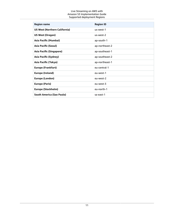### Live Streaming on AWS with Amazon S3 Implementation Guide Supported deployment Regions

| <b>Region name</b>                   | <b>Region ID</b> |
|--------------------------------------|------------------|
| <b>US West (Northern California)</b> | us-west-1        |
| <b>US West (Oregon)</b>              | us-west-2        |
| Asia Pacific (Mumbai)                | ap-south-1       |
| <b>Asia Pacific (Seoul)</b>          | ap-northeast-2   |
| Asia Pacific (Singapore)             | ap-southeast-1   |
| Asia Pacific (Sydney)                | ap-southeast-2   |
| Asia Pacific (Tokyo)                 | ap-northeast-1   |
| <b>Europe (Frankfurt)</b>            | eu-central-1     |
| <b>Europe (Ireland)</b>              | eu-west-1        |
| <b>Europe (London)</b>               | eu-west-2        |
| <b>Europe (Paris)</b>                | eu-west-3        |
| Europe (Stockholm)                   | eu-north-1       |
| <b>South America (Sao Paulo)</b>     | sa-east-1        |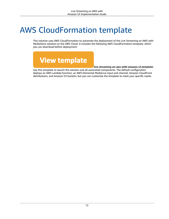# <span id="page-14-0"></span>AWS CloudFormation template

This solution uses AWS CloudFormation to automate the deployment of the Live Streaming on AWS with MediaStore solution on the AWS Cloud. It includes the following AWS CloudFormation template, which you can download before deployment:



### **live-streaming-on-aws-with-amazon-s3.template:**

Use this template to launch the solution and all associated components. The default configuration deploys an AWS Lambda function, an AWS Elemental MediaLive input and channel, Amazon CloudFront distributions, and Amazon S3 buckets, but you can customize the template to meet your specific needs.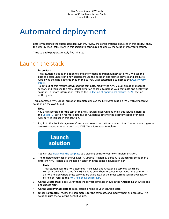## <span id="page-15-0"></span>Automated deployment

Before you launch the automated deployment, review the considerations discussed in this guide. Follow the step-by-step instructions in this section to configure and deploy the solution into your account.

**Time to deploy:** Approximately five minutes

### <span id="page-15-1"></span>Launch the stack

### **Important**

This solution includes an option to send anonymous operational metrics to AWS. We use this data to better understand how customers use this solution and related services and products. AWS owns the data gathered though this survey. Data collection is subject to the AWS [Privacy](http://aws.amazon.com/privacy/) [Policy.](http://aws.amazon.com/privacy/)

To opt out of this feature, download the template, modify the AWS CloudFormation mapping section, and then use the AWS CloudFormation console to upload your template and deploy the solution. For more information, refer to the Collection of [operational](#page-26-0) metric[s \(p. 24\)](#page-26-0) section of this guide.

This automated AWS CloudFormation template deploys the Live Streaming on AWS with Amazon S3 solution on the AWS Cloud.

### **Note**

You are responsible for the cost of the AWS services used while running this solution. Refer to the [Cost \(p. 2\)](#page-4-0) section for more details. For full details, refer to the pricing webpage for each AWS service you use in this solution.

1. Log in to the AWS Management Console and select the button to launch the live-streaming-onaws-with-amazon-s3.template AWS CloudFormation template.



You can also [download](https://solutions-reference.s3.amazonaws.com/live-streaming-on-aws-with-amazon-s3/latest/live-streaming-on-aws-with-amazon-s3.template) the template as a starting point for your own implementation.

2. The template launches in the US East (N. Virginia) Region by default. To launch this solution in a different AWS Region, use the Region selector in the console navigation bar.

### **Note**

This solution uses the AWS Elemental MediaLive and Amazon S3 services, which are currently available in specific AWS Regions only. Therefore, you must launch this solution in an AWS Region where these services are available. For the most current service availability by Region, refer to the AWS [Regional](https://aws.amazon.com/about-aws/global-infrastructure/regional-product-services/) Services List.

- 3. On the **Create stack** page, verify that the correct template shows in the **Amazon S3 URL** text box and choose **Next**.
- 4. On the **Specify stack details** page, assign a name to your solution stack.
- 5. Under **Parameters**, review the parameters for the template, and modify them as necessary. This solution uses the following default values.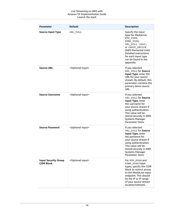### Live Streaming on AWS with Amazon S3 Implementation Guide Launch the stack

| <b>Parameter</b>                                 | <b>Default</b>                 | <b>Description</b>                                                                                                                                                                                                              |
|--------------------------------------------------|--------------------------------|---------------------------------------------------------------------------------------------------------------------------------------------------------------------------------------------------------------------------------|
| <b>Source Input Type</b>                         | URL_PULL                       | Specify the input<br>type for MediaLive:<br>RTP_PUSH,<br>RTMP PUSH,<br>URL_PULL (HLS),<br>OF INPUT_DEVICE<br>(AWS Elemental Link).<br><b>Detailed instructions</b><br>for each input type<br>can be found in the<br>appendix.   |
| <b>Source URL</b>                                | <optional input=""></optional> | If you selected<br>URL_PULL for Source<br>Input Type, enter the<br>URL for your source<br>stream. By default, this<br>parameter contains the<br>primary demo source<br>URL.                                                     |
| <b>Source Username</b>                           | <optional input=""></optional> | If you selected<br>URL_PULL for Source<br>Input Type, enter<br>the username for<br>your source stream if<br>using authentication.<br>This value will be<br>stored securely in AWS<br><b>Systems Manager</b><br>Parameter Store. |
| <b>Source Password</b>                           | <optional input=""></optional> | If you selected<br>URL PULL for Source<br>Input Type, enter<br>the password for<br>your source stream if<br>using authentication.<br>This value will be<br>stored securely in AWS<br><b>Systems Manager</b><br>Parameter Store. |
| <b>Input Security Group</b><br><b>CIDR Block</b> | <optional input=""></optional> | For RTP_PUSH and<br>RTMP_PUSH input<br>types, specify the CIDR<br>block to restrict access<br>to the MediaLive input<br>endpoint. This should<br>be the IP or IP range<br>of your source stream<br>location/network.            |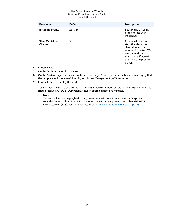### Live Streaming on AWS with Amazon S3 Implementation Guide Launch the stack

| <b>Parameter</b>                         | <b>Default</b> | <b>Description</b>                                                                                                                                                          |
|------------------------------------------|----------------|-----------------------------------------------------------------------------------------------------------------------------------------------------------------------------|
| <b>Encoding Profile</b>                  | $HD-720$       | Specify the encoding<br>profile to use with<br>MediaLive.                                                                                                                   |
| <b>Start MediaLive</b><br><b>Channel</b> | No.            | Choose whether to<br>start the MediaLive<br>channel when the<br>solution is created. We<br>recommend starting<br>the channel if you will<br>use the demo preview<br>player. |

- 6. Choose **Next**.
- 7. On the **Options** page, choose **Next**.
- 8. On the **Review** page, review and confirm the settings. Be sure to check the box acknowledging that the template will create AWS Identity and Access Management (IAM) resources.
- 9. Choose **Create** to deploy the stack.

You can view the status of the stack in the AWS CloudFormation console in the **Status** column. You should receive a **CREATE\_COMPLETE** status in approximately five minutes.

### **Note**

To test the live stream playback, navigate to the AWS CloudFormation stack **Outputs** tab, copy the Amazon CloudFront URL, and open the URL in any player compatible with HTTP Live Streaming (HLS). For more details, refer to Amazon [CloudWatch](#page-23-0) metric[s \(p. 21\)](#page-23-0).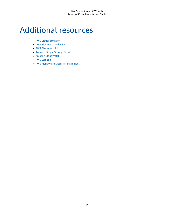# <span id="page-18-0"></span>Additional resources

- AWS [CloudFormation](https://aws.amazon.com/cloudformation/)
- AWS [Elemental](https://aws.amazon.com/medialive/) MediaLive
- AWS [Elemental](https://aws.amazon.com/medialive/features/link) Link
- [Amazon](https://aws.amazon.com/s3/) Simple Storage Service
- Amazon [CloudWatch](https://aws.amazon.com/cloudwatch/)
- AWS [Lambda](https://aws.amazon.com/lambda/)
- AWS Identity and Access [Management](https://aws.amazon.com/iam/)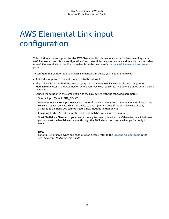# <span id="page-19-0"></span>AWS Elemental Link input configuration

This solution includes support for the AWS Elemental Link device as a source for live streaming content. AWS Elemental Link offers a configuration-free, cost-efficient way to securely and reliably transfer video to AWS Elemental MediaLive. For more details on the device, refer to the AWS [Elemental](https://aws.amazon.com/medialive/features/link/) Link product [page](https://aws.amazon.com/medialive/features/link/).

To configure this solution to use an AWS Elemental Link device you need the following:

- A Link device powered on and connected to the internet.
- The Link device ID. To find the device ID, sign in to the AWS MediaLive console and navigate to **MediaLive Devices** in the AWS Region where your device is registered. The device is listed with the Link device ID.
- Launch the solution in the same Region as the Link device with the following parameters:
	- **Source Input Type**: INPUT\_DEVICE
	- **AWS Elemental Link Input Device ID**: The ID of the Link device from the AWS Elemental MediaLive console. You can only attach a Link device to one input at a time. If the Link device is already attached to an input, you cannot create a new input using that device.
	- **Encoding Profile**: Select the profile that best matches your source resolution.
	- **Start MediaLive Channel**: If your device is ready to stream, select true. Otherwise, select false you can start the MediaLive channel through the AWS MediaLive console when you're ready to stream.

### **Note**

For a full list of input types and configuration details, refer to the [Creating](https://docs.aws.amazon.com/medialive/latest/ug/create-input.html) an input topic in the *AWS Elemental MediaLive User Guide*.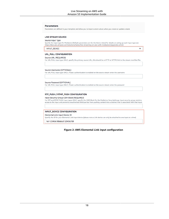#### **Parameters**

Parameters are defined in your template and allow you to input custom values when you create or update a stack.

#### **LIVE STREAM SOURCE**

#### Source Input Type

Specify the input type for MediaLive (Default parameters are for the Demo video) for details on seting up each input type see<br>https://docs.aws.amazon.com/solutions/latest/live-streaming-on-aws-with-mediastore/appendix-a.ht

 $\overline{\phantom{a}}$ 

**INPUT\_DEVICE** 

#### **URL\_PULL CONFIGURATION**

**Source URL (REQUIRED)** 

For URL PULL input type ONLY, specify the primary source URL, this should be a HTTP or HTTPS link to the stream manifest file.

#### Source Username (OPTIONAL)

For URL PULL input type ONLY, if basic authentication is enabled on the source stream enter the username

#### Source Password (OPTIONAL)

For URL PULL input type ONLY, if basic authentication is enabled on the source stream enter the password

### RTP\_PUSH / RTMP\_PUSH CONFIGURATION

#### Input Security Group CIDR Block (REQUIRED)

For RTP and RTMP PUSH input types ONLY, specify the CIDR Block for the MediaLive SecurityGroup. Input security group restricts access to the input and prevents unauthorized third parties from pushing content into a channel that is associated with that input.

### **INPUT\_DEVICE CONFIGURATION**

Elemental Link Input Device ID

Specify the ID for your Elemental Link Input device (please note a Link device can only be attached to one input at a time)

hd-123456789abcd123456789

### **Figure 2: AWS Elemental Link input configuration**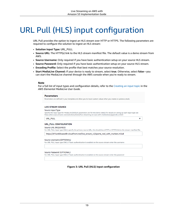# <span id="page-21-0"></span>URL Pull (HLS) input configuration

URL Pull provides the option to ingest an HLS stream over HTTP or HTTPS. The following parameters are required to configure the solution to ingest an HLS stream:

- **Solution Input Type:** URL\_PULL
- **Source URL:** The HTTP(s) link to the HLS stream manifest file. The default value is a demo stream from AWS.
- **Source Username:** Only required if you have basic authentication setup on your source HLS stream.
- **Source Password:** Only required if you have basic authentication setup on your source HLS stream.
- **Encoding Profile:** Select the profile that best matches your source resolution.
- **Start MediaLive Channel:** If your device is ready to stream, select **true**. Otherwise, select **false**—you can start the MediaLive channel through the AWS console when you're ready to stream.

### **Note**

For a full list of input types and configuration details, refer to the [Creating](https://docs.aws.amazon.com/medialive/latest/ug/create-input.html) an input topic in the *AWS Elemental MediaLive User Guide*.

#### **Parameters**

Parameters are defined in your template and allow you to input custom values when you create or update a stack

#### **LIVE STREAM SOURCE**

#### Source Input Type

Specify the input type for MediaLive (Default parameters are for the Demo video) for details on seting up each input type see https://docs.aws.amazon.com/solutions/latest/live-streaming-on-aws-with-mediastore/appendix-a.html

 $\overline{\phantom{a}}$ 

**URL\_PULL** 

### **URL\_PULL CONFIGURATION**

#### Source URL (REOUIRED)

For URL PULL input type ONLY, specify the primary source URL, this should be a HTTP or HTTPS link to the stream manifest file.

https://d15an60oaeed9r.cloudfront.net/live\_stream\_v2/sports\_reel\_with\_markers.m3u8

#### Source Username (OPTIONAL)

For URL PULL input type ONLY, if basic authentication is enabled on the source stream enter the username

#### Source Password (OPTIONAL)

For URL PULL input type ONLY, if basic authentication is enabled on the source stream enter the password

### **Figure 3: URL Pull (HLS) input configuration**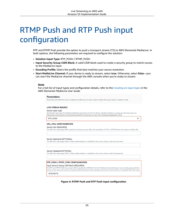# <span id="page-22-0"></span>RTMP Push and RTP Push input configuration

RTP and RTMP Push provide the option to push a transport stream (TS) to AWS Elemental MediaLive. In both options, the following parameters are required to configure the solution:

- **Solution Input Type:** RTP\_PUSH / RTMP\_PUSH
- **Input Security Group CIDR Block:** A valid CIDR block used to create a security group to restrict access to the MediaLive input.
- **Encoding Profile:** Select the profile that best matches your source resolution.
- **Start MediaLive Channel:** If your device is ready to stream, select **true**. Otherwise, select **false**—you can start the MediaLive channel through the AWS console when you're ready to stream.

### **Note**

For a full list of input types and configuration details, refer to the [Creating](https://docs.aws.amazon.com/medialive/latest/ug/create-input.html) an input topic in the *AWS Elemental MediaLive User Guide*.

#### **Parameters**

Parameters are defined in your template and allow you to input custom values when you create or update a stack.

#### **LIVE STREAM SOURCE**

#### Source Input Type

Specify the input type for MediaLive (Default parameters are for the Demo video) for details on seting up each input type see https://docs.aws.amazon.com/solutions/latest/live-streaming-on-aws-with-mediastore/appendix-a.html

 $\overline{\mathbf{v}}$ 

RTP\_PUSH

#### URL\_PULL CONFIGURATION

#### **Source URL (REQUIRED)**

For URL PULL input type ONLY, specify the primary source URL, this should be a HTTP or HTTPS link to the stream manifest file.

#### Source Username (OPTIONAL)

For URL PULL input type ONLY, if basic authentication is enabled on the source stream enter the username

#### Source Password (OPTIONAL)

For URL PULL input type ONLY, if basic authentication is enabled on the source stream enter the password

#### **RTP\_PUSH / RTMP\_PUSH CONFIGURATION**

### Input Security Group CIDR Block (REQUIRED)

For RTP and RTMP PUSH input types ONLY, specify the CIDR Block for the MediaLive SecurityGroup. Input security group restricts access to the input and prevents unauthorized third parties from pushing content into a channel that is associated with that input.

10.0.0.0/16

### **Figure 4: RTMP Push and RTP Push input configuration**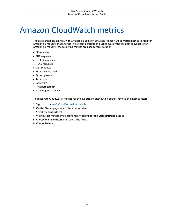# <span id="page-23-0"></span>Amazon CloudWatch metrics

The Live Streaming on AWS with Amazon S3 solution activates Amazon CloudWatch metrics to monitor Amazon S3 requests made to the live stream distribution bucket. Out of the 16 metrics available for Amazon S3 requests, the following metrics are used for this solution:

- All requests
- PUT requests
- DELETE requests
- HEAD requests
- LIST requests
- Bytes downloaded
- Bytes uploaded
- 4xx errors
- 5xx errors
- First byte latency
- Total request latency

To deactivate CloudWatch metrics for the live stream distribution bucket, remove the metrics filter:

- 1. Sign in to the AWS [CloudFormation](https://console.aws.amazon.com/cloudformation/home) console.
- 2. On the **Stacks** page, select the solution stack.
- 3. Select the **Outputs** tab.
- 4. View bucket metrics by selecting the hyperlink for the **BucketMetrics** output.
- 5. Choose **Manage filters** then select the filter.
- 6. Choose **Delete**.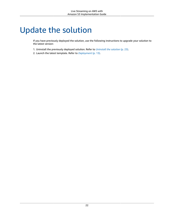# <span id="page-24-0"></span>Update the solution

If you have previously deployed the solution, use the following instructions to upgrade your solution to the latest version:

- 1. Uninstall the previously deployed solution. Refer to *[Uninstall the solution](#page-25-0)* [\(p. 23\)](#page-25-0).
- 2. Launch the latest template. Refer to *[Deployment](#page-15-0)* [\(p. 13\)](#page-15-0).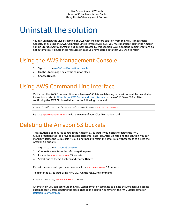## <span id="page-25-0"></span>Uninstall the solution

You can uninstall the Live Streaming on AWS with MediaStore solution from the AWS Management Console, or by using the AWS Command Line Interface (AWS CLI). You must manually delete the Amazon Simple Storage Service (Amazon S3) buckets created by this solution. AWS Solutions Implementations do not automatically delete these resources in case you have stored data that you wish to retain.

### <span id="page-25-1"></span>Using the AWS Management Console

- 1. Sign in to the AWS [CloudFormation](https://console.aws.amazon.com/cloudformation/home) console.
- 2. On the **Stacks** page, select the solution stack.
- 3. Choose **Delete**.

### <span id="page-25-2"></span>Using AWS Command Line Interface

Verify that the AWS Command Line Interface (AWS CLI) is available in your environment. For installation instructions, refer to What Is the AWS [Command](https://docs.aws.amazon.com/cli/latest/userguide/cli-chap-welcome.html) Line Interface in the *AWS CLI User Guide*. After confirming the AWS CLI is available, run the following command.

```
$ aws cloudformation delete-stack --stack-name <your-stack-name>
```
Replace *<your-stack-name>* with the name of your CloudFormation stack.

### <span id="page-25-3"></span>Deleting the Amazon S3 buckets

This solution is configured to retain the Amazon S3 buckets if you decide to delete the AWS CloudFormation stack to prevent against accidental data loss. After uninstalling the solution, you can manually delete the S3 buckets if you do not need to retain the data. Follow these steps to delete the Amazon S3 buckets.

- 1. Sign in to the [Amazon](https://console.aws.amazon.com/s3/home) S3 console.
- 2. Choose **Buckets** from the left navigation pane.
- 3. Locate the *<stack-name>* S3 buckets.
- 4. Select one of the S3 buckets and choose **Delete**.

Repeat the steps until you have deleted all the *<stack-name>* S3 buckets.

To delete the S3 buckets using AWS CLI, run the following command:

\$ aws s3 rb s3://*<bucket-name>* --force

Alternatively, you can configure the AWS CloudFormation template to delete the Amazon S3 buckets automatically. Before deleting the stack, change the deletion behavior in the AWS CloudFormation [DeletionPolicy](https://docs.aws.amazon.com/AWSCloudFormation/latest/UserGuide/aws-attribute-deletionpolicy.html) attribute.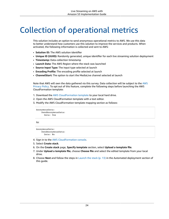# <span id="page-26-0"></span>Collection of operational metrics

This solution includes an option to send anonymous operational metrics to AWS. We use this data to better understand how customers use this solution to improve the services and products. When activated, the following information is collected and sent to AWS:

- **Solution ID:** The AWS solution identifier
- **Unique ID (UUID):** Randomly generated, unique identifier for each live streaming solution deployment
- **Timestamp:** Data-collection timestamp
- **Launch Data:** The AWS Region where the stack was launched
- **Source Input Type:** The input type selected at launch
- **Encoding Profile:** The encoding profile selected at launch
- **ChannelStart:** The option to start the MediaLive channel selected at launch

Note that AWS will own the data gathered via this survey. Data collection will be subject to the [AWS](https://aws.amazon.com/privacy/) [Privacy](https://aws.amazon.com/privacy/) Policy. To opt out of this feature, complete the following steps before launching the AWS CloudFormation template:

- 1. Download the AWS [CloudFormation](https://solutions-reference.s3.amazonaws.com/live-streaming-on-aws-with-amazon-s3/latest/live-streaming-on-aws-with-amazon-s3.template) template to your local hard drive.
- 2. Open the AWS CloudFormation template with a text editor.
- 3. Modify the AWS CloudFormation template mapping section as follows:

```
AnonymousData:
SendAnonymousData:
  Data: Yes
```
to:

```
AnonymousData:
SendAnonymousData:
  Data: No
```
- 4. Sign in to the AWS [CloudFormation](https://console.aws.amazon.com/cloudformation/home) console.
- 5. Select **Create stack**.
- 6. On the **Create stack** page, **Specify template** section, select **Upload a template file**.
- 7. Under **Upload a template file**, choose **Choose file** and select the edited template from your local drive.
- 8. Choose **Next** and follow the steps in [Launch the stack \(p. 13\)](#page-15-1) in the Automated deployment section of this guide.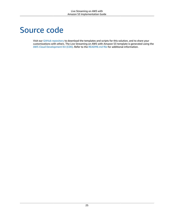## <span id="page-27-0"></span>Source code

Visit our GitHub [repository](https://github.com/aws-solutions/live-streaming-on-aws-with-amazon-s3) to download the templates and scripts for this solution, and to share your customizations with others. The Live Streaming on AWS with Amazon S3 template is generated using the AWS Cloud [Development](https://aws.amazon.com/cdk) Kit (CDK). Refer to the [README.md file](https://github.com/aws-solutions/live-streaming-on-aws-with-amazon-s3/blob/mainline/README.md) for additional information.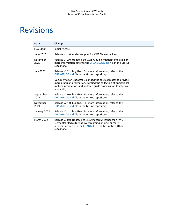# <span id="page-28-0"></span>Revisions

| <b>Date</b>       | Change                                                                                                                                                                                                                                                                                                                                |  |
|-------------------|---------------------------------------------------------------------------------------------------------------------------------------------------------------------------------------------------------------------------------------------------------------------------------------------------------------------------------------|--|
| May 2020          | Initial release                                                                                                                                                                                                                                                                                                                       |  |
| June 2020         | Release v1.1.0: Added support for AWS Elemental Link.                                                                                                                                                                                                                                                                                 |  |
| December<br>2020  | Release v1.2.0: Updated the AWS CloudFormation template. For<br>more information, refer to the CHANGELOG.md file in the GitHub<br>repository.                                                                                                                                                                                         |  |
| <b>July 2021</b>  | Release v1.2.1: bug fixes. For more information, refer to the<br>CHANGELOG.md file in the GitHub repository.<br>Documentation updates: Expanded the cost estimates to provide<br>more granular information, clarified the collection of operational<br>metrics information, and updated guide organization to improve<br>readability. |  |
| September<br>2021 | Release v2.0.0: bug fixes. For more information, refer to the<br>CHANGELOG.md file in the GitHub repository.                                                                                                                                                                                                                          |  |
| November<br>2021  | Release v2.1.0: bug fixes. For more information, refer to the<br>CHANGELOG.md file in the GitHub repository.                                                                                                                                                                                                                          |  |
| January 2022      | Release v2.1.1: bug fixes. For more information, refer to the<br>CHANGELOG.md file in the GitHub repository.                                                                                                                                                                                                                          |  |
| <b>March 2022</b> | Release v3.0.0: Updated to use Amazon S3 rather than AWS<br>Elemental MediaStore as live streaming origin. For more<br>information, refer to the CHANGELOG.md file in the GitHub<br>repository.                                                                                                                                       |  |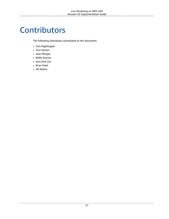## <span id="page-29-0"></span>**Contributors**

The following individuals contributed to this document:

- Tom Nightingale
- Tom Gilman
- Joan Morgan
- Eddie Goynes
- Sam Dim Ciin
- Kiran Patel
- Jill Adams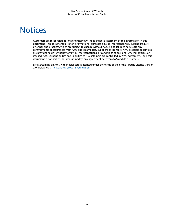## <span id="page-30-0"></span>**Notices**

Customers are responsible for making their own independent assessment of the information in this document. This document: (a) is for informational purposes only, (b) represents AWS current product offerings and practices, which are subject to change without notice, and (c) does not create any commitments or assurances from AWS and its affiliates, suppliers or licensors. AWS products or services are provided "as is" without warranties, representations, or conditions of any kind, whether express or implied. AWS responsibilities and liabilities to its customers are controlled by AWS agreements, and this document is not part of, nor does it modify, any agreement between AWS and its customers.

Live Streaming on AWS with MediaStore is licensed under the terms of the of the Apache License Version 2.0 available at The Apache Software [Foundation.](https://www.apache.org/licenses/LICENSE-2.0)